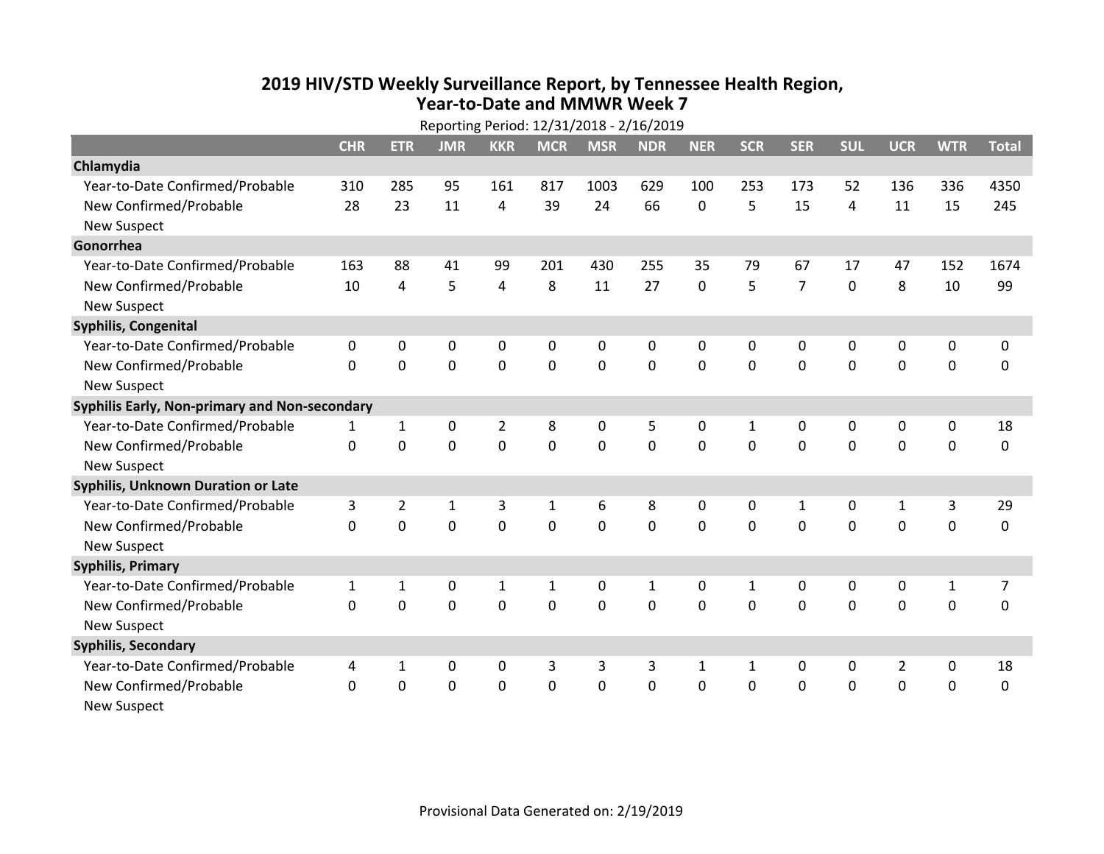## **2019 HIV /STD Weekly Surveillance Report, by Tennessee Health Region, Year‐to‐Date and MMWR Week 7**

|                                               | Reporting Period: 12/31/2018 - 2/16/2019 |                |                |             |              |             |              |              |              |                |             |                |             |                |
|-----------------------------------------------|------------------------------------------|----------------|----------------|-------------|--------------|-------------|--------------|--------------|--------------|----------------|-------------|----------------|-------------|----------------|
|                                               | <b>CHR</b>                               | <b>ETR</b>     | <b>JMR</b>     | <b>KKR</b>  | <b>MCR</b>   | <b>MSR</b>  | <b>NDR</b>   | <b>NER</b>   | <b>SCR</b>   | <b>SER</b>     | <b>SUL</b>  | <b>UCR</b>     | <b>WTR</b>  | <b>Total</b>   |
| Chlamydia                                     |                                          |                |                |             |              |             |              |              |              |                |             |                |             |                |
| Year-to-Date Confirmed/Probable               | 310                                      | 285            | 95             | 161         | 817          | 1003        | 629          | 100          | 253          | 173            | 52          | 136            | 336         | 4350           |
| New Confirmed/Probable                        | 28                                       | 23             | 11             | 4           | 39           | 24          | 66           | 0            | 5            | 15             | 4           | 11             | 15          | 245            |
| <b>New Suspect</b>                            |                                          |                |                |             |              |             |              |              |              |                |             |                |             |                |
| Gonorrhea                                     |                                          |                |                |             |              |             |              |              |              |                |             |                |             |                |
| Year-to-Date Confirmed/Probable               | 163                                      | 88             | 41             | 99          | 201          | 430         | 255          | 35           | 79           | 67             | 17          | 47             | 152         | 1674           |
| New Confirmed/Probable                        | 10                                       | 4              | 5              | 4           | 8            | 11          | 27           | 0            | 5            | $\overline{7}$ | $\mathbf 0$ | 8              | 10          | 99             |
| <b>New Suspect</b>                            |                                          |                |                |             |              |             |              |              |              |                |             |                |             |                |
| Syphilis, Congenital                          |                                          |                |                |             |              |             |              |              |              |                |             |                |             |                |
| Year-to-Date Confirmed/Probable               | 0                                        | 0              | 0              | 0           | 0            | 0           | 0            | 0            | 0            | 0              | 0           | 0              | 0           | 0              |
| New Confirmed/Probable                        | $\mathbf{0}$                             | $\mathbf 0$    | 0              | $\mathbf 0$ | $\mathbf 0$  | $\mathbf 0$ | $\mathbf 0$  | $\mathbf 0$  | $\Omega$     | 0              | $\mathbf 0$ | 0              | $\mathbf 0$ | 0              |
| <b>New Suspect</b>                            |                                          |                |                |             |              |             |              |              |              |                |             |                |             |                |
| Syphilis Early, Non-primary and Non-secondary |                                          |                |                |             |              |             |              |              |              |                |             |                |             |                |
| Year-to-Date Confirmed/Probable               | 1                                        | 1              | 0              | 2           | 8            | 0           | 5            | 0            | $\mathbf{1}$ | 0              | 0           | 0              | 0           | 18             |
| New Confirmed/Probable                        | $\mathbf{0}$                             | $\mathbf 0$    | 0              | $\mathbf 0$ | $\mathbf 0$  | $\mathbf 0$ | $\mathbf 0$  | $\mathbf 0$  | $\mathbf 0$  | 0              | $\mathbf 0$ | 0              | $\mathbf 0$ | 0              |
| <b>New Suspect</b>                            |                                          |                |                |             |              |             |              |              |              |                |             |                |             |                |
| <b>Syphilis, Unknown Duration or Late</b>     |                                          |                |                |             |              |             |              |              |              |                |             |                |             |                |
| Year-to-Date Confirmed/Probable               | 3                                        | $\overline{2}$ | $\mathbf{1}$   | 3           | $\mathbf{1}$ | 6           | 8            | 0            | $\Omega$     | $\mathbf{1}$   | 0           | 1              | 3           | 29             |
| New Confirmed/Probable                        | $\Omega$                                 | $\mathbf 0$    | $\mathbf 0$    | $\mathbf 0$ | 0            | $\mathbf 0$ | $\mathbf 0$  | $\Omega$     | $\Omega$     | $\Omega$       | $\Omega$    | 0              | $\mathbf 0$ | 0              |
| <b>New Suspect</b>                            |                                          |                |                |             |              |             |              |              |              |                |             |                |             |                |
| <b>Syphilis, Primary</b>                      |                                          |                |                |             |              |             |              |              |              |                |             |                |             |                |
| Year-to-Date Confirmed/Probable               | $\mathbf{1}$                             | 1              | 0              | 1           | $\mathbf{1}$ | $\mathbf 0$ | $\mathbf{1}$ | 0            | $\mathbf{1}$ | 0              | 0           | 0              | 1           | $\overline{7}$ |
| New Confirmed/Probable                        | 0                                        | $\mathbf 0$    | $\overline{0}$ | $\mathbf 0$ | $\mathbf 0$  | $\mathbf 0$ | $\mathbf 0$  | 0            | $\Omega$     | $\Omega$       | $\Omega$    | $\mathbf 0$    | $\mathbf 0$ | 0              |
| <b>New Suspect</b>                            |                                          |                |                |             |              |             |              |              |              |                |             |                |             |                |
| <b>Syphilis, Secondary</b>                    |                                          |                |                |             |              |             |              |              |              |                |             |                |             |                |
| Year-to-Date Confirmed/Probable               | 4                                        | 1              | 0              | 0           | 3            | 3           | 3            | $\mathbf{1}$ | $\mathbf{1}$ | 0              | 0           | $\overline{2}$ | $\mathbf 0$ | 18             |
| New Confirmed/Probable                        | $\mathbf{0}$                             | 0              | 0              | $\mathbf 0$ | 0            | $\mathbf 0$ | 0            | 0            | 0            | 0              | $\mathbf 0$ | 0              | $\mathbf 0$ | 0              |
| <b>New Suspect</b>                            |                                          |                |                |             |              |             |              |              |              |                |             |                |             |                |